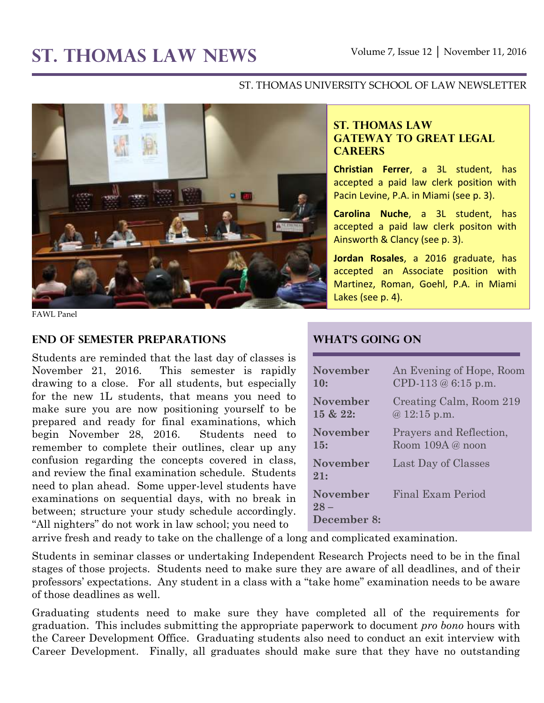# **ST. THOMAS LAW NEWS** Volume 7, Issue 12 │ November 11, 2016

#### ST. THOMAS UNIVERSITY SCHOOL OF LAW NEWSLETTER



FAWL Panel

#### **End of Semester Preparations**

Students are reminded that the last day of classes is November 21, 2016. This semester is rapidly drawing to a close. For all students, but especially for the new 1L students, that means you need to make sure you are now positioning yourself to be prepared and ready for final examinations, which begin November 28, 2016. Students need to remember to complete their outlines, clear up any confusion regarding the concepts covered in class, and review the final examination schedule. Students need to plan ahead. Some upper-level students have examinations on sequential days, with no break in between; structure your study schedule accordingly. "All nighters" do not work in law school; you need to

#### **ST. THOMAS LAW GATEWAY TO GREAT LEGAL CAREERS**

**Christian Ferrer**, a 3L student, has accepted a paid law clerk position with Pacin Levine, P.A. in Miami (see p. 3).

**Carolina Nuche**, a 3L student, has accepted a paid law clerk positon with Ainsworth & Clancy (see p. 3).

**Jordan Rosales**, a 2016 graduate, has accepted an Associate position with Martinez, Roman, Goehl, P.A. in Miami Lakes (see p. 4).

## **What's Going On**

| <b>November</b>                          | An Evening of Hope, Room |
|------------------------------------------|--------------------------|
| 10:                                      | CPD-113 $@$ 6:15 p.m.    |
| <b>November</b>                          | Creating Calm, Room 219  |
| 15 & 22:                                 | $@12:15$ p.m.            |
| <b>November</b>                          | Prayers and Reflection,  |
| 15:                                      | Room 109A @ noon         |
| <b>November</b><br>21:                   | Last Day of Classes      |
| <b>November</b><br>$28 -$<br>December 8: | Final Exam Period        |

arrive fresh and ready to take on the challenge of a long and complicated examination.

Students in seminar classes or undertaking Independent Research Projects need to be in the final stages of those projects. Students need to make sure they are aware of all deadlines, and of their professors' expectations. Any student in a class with a "take home" examination needs to be aware of those deadlines as well.

Graduating students need to make sure they have completed all of the requirements for graduation. This includes submitting the appropriate paperwork to document *pro bono* hours with the Career Development Office. Graduating students also need to conduct an exit interview with Career Development. Finally, all graduates should make sure that they have no outstanding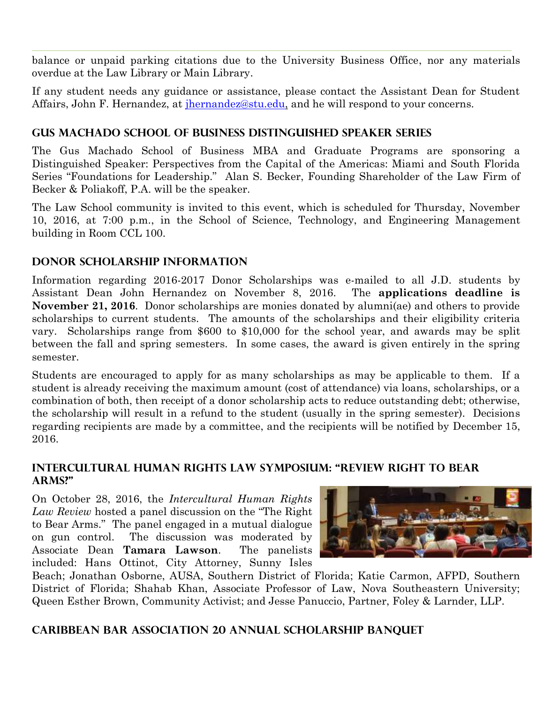balance or unpaid parking citations due to the University Business Office, nor any materials overdue at the Law Library or Main Library.

If any student needs any guidance or assistance, please contact the Assistant Dean for Student Affairs, John F. Hernandez, at [jhernandez@stu.edu,](mailto:jhernandez@stu.edu) and he will respond to your concerns.

# **Gus Machado School of Business Distinguished Speaker Series**

The Gus Machado School of Business MBA and Graduate Programs are sponsoring a Distinguished Speaker: Perspectives from the Capital of the Americas: Miami and South Florida Series "Foundations for Leadership." Alan S. Becker, Founding Shareholder of the Law Firm of Becker & Poliakoff, P.A. will be the speaker.

The Law School community is invited to this event, which is scheduled for Thursday, November 10, 2016, at 7:00 p.m., in the School of Science, Technology, and Engineering Management building in Room CCL 100.

## **Donor Scholarship Information**

Information regarding 2016-2017 Donor Scholarships was e-mailed to all J.D. students by Assistant Dean John Hernandez on November 8, 2016. The **applications deadline is November 21, 2016**. Donor scholarships are monies donated by alumni(ae) and others to provide scholarships to current students. The amounts of the scholarships and their eligibility criteria vary. Scholarships range from \$600 to \$10,000 for the school year, and awards may be split between the fall and spring semesters. In some cases, the award is given entirely in the spring semester.

Students are encouraged to apply for as many scholarships as may be applicable to them. If a student is already receiving the maximum amount (cost of attendance) via loans, scholarships, or a combination of both, then receipt of a donor scholarship acts to reduce outstanding debt; otherwise, the scholarship will result in a refund to the student (usually in the spring semester). Decisions regarding recipients are made by a committee, and the recipients will be notified by December 15, 2016.

## **Intercultural Human Rights Law Symposium: "Review Right to Bear Arms?"**

On October 28, 2016, the *Intercultural Human Rights Law Review* hosted a panel discussion on the "The Right to Bear Arms." The panel engaged in a mutual dialogue on gun control. The discussion was moderated by Associate Dean **Tamara Lawson**. The panelists included: Hans Ottinot, City Attorney, Sunny Isles



Beach; Jonathan Osborne, AUSA, Southern District of Florida; Katie Carmon, AFPD, Southern District of Florida; Shahab Khan, Associate Professor of Law, Nova Southeastern University; Queen Esther Brown, Community Activist; and Jesse Panuccio, Partner, Foley & Larnder, LLP.

## **Caribbean bar Association 20 Annual Scholarship Banquet**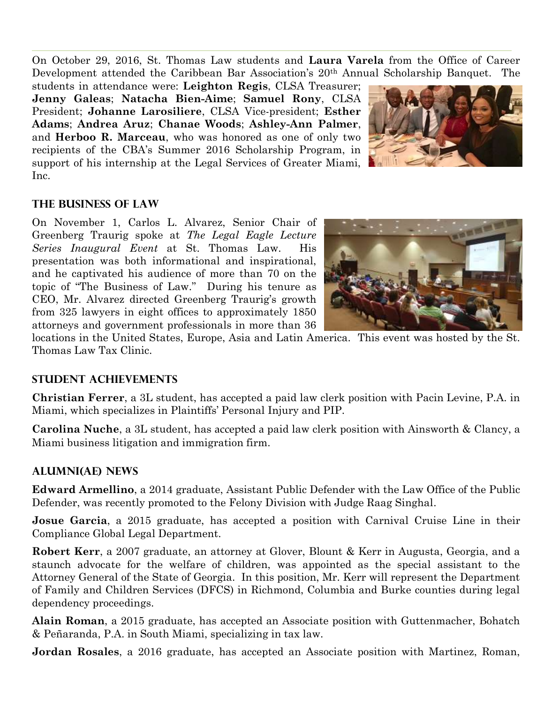On October 29, 2016, St. Thomas Law students and **Laura Varela** from the Office of Career Development attended the Caribbean Bar Association's 20th Annual Scholarship Banquet. The

students in attendance were: **Leighton Regis**, CLSA Treasurer; **Jenny Galeas**; **Natacha Bien-Aime**; **Samuel Rony**, CLSA President; **Johanne Larosiliere**, CLSA Vice-president; **Esther Adams**; **Andrea Aruz**; **Chanae Woods**; **Ashley-Ann Palmer**, and **Herboo R. Marceau**, who was honored as one of only two recipients of the CBA's Summer 2016 Scholarship Program, in support of his internship at the Legal Services of Greater Miami, Inc.



## **The Business of Law**

On November 1, Carlos L. Alvarez, Senior Chair of Greenberg Traurig spoke at *The Legal Eagle Lecture Series Inaugural Event* at St. Thomas Law. His presentation was both informational and inspirational, and he captivated his audience of more than 70 on the topic of "The Business of Law." During his tenure as CEO, Mr. Alvarez directed Greenberg Traurig's growth from 325 lawyers in eight offices to approximately 1850 attorneys and government professionals in more than 36



locations in the United States, Europe, Asia and Latin America. This event was hosted by the St. Thomas Law Tax Clinic.

#### **STUDENT ACHIEVEMENTS**

**Christian Ferrer**, a 3L student, has accepted a paid law clerk position with Pacin Levine, P.A. in Miami, which specializes in Plaintiffs' Personal Injury and PIP.

**Carolina Nuche**, a 3L student, has accepted a paid law clerk position with Ainsworth & Clancy, a Miami business litigation and immigration firm.

## **ALUMNI(AE) NEWS**

**Edward Armellino**, a 2014 graduate, Assistant Public Defender with the Law Office of the Public Defender, was recently promoted to the Felony Division with Judge Raag Singhal.

**Josue Garcia**, a 2015 graduate, has accepted a position with Carnival Cruise Line in their Compliance Global Legal Department.

**Robert Kerr**, a 2007 graduate, an attorney at Glover, Blount & Kerr in Augusta, Georgia, and a staunch advocate for the welfare of children, was appointed as the special assistant to the Attorney General of the State of Georgia. In this position, Mr. Kerr will represent the Department of Family and Children Services (DFCS) in Richmond, Columbia and Burke counties during legal dependency proceedings.

**Alain Roman**, a 2015 graduate, has accepted an Associate position with Guttenmacher, Bohatch & Peñaranda, P.A. in South Miami, specializing in tax law.

**Jordan Rosales**, a 2016 graduate, has accepted an Associate position with Martinez, Roman,